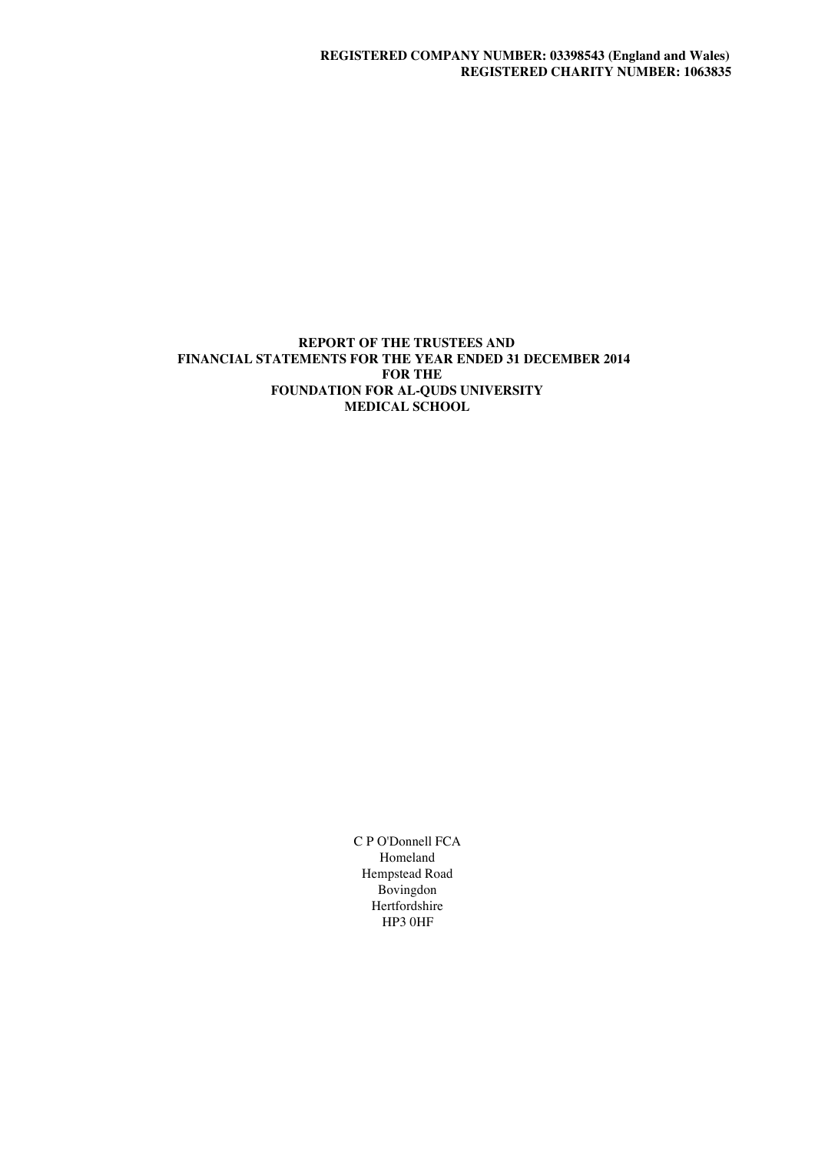# **REPORT OF THE TRUSTEES AND FINANCIAL STATEMENTS FOR THE YEAR ENDED 31 DECEMBER 2014 FOR THE FOUNDATION FOR AL-QUDS UNIVERSITY MEDICAL SCHOOL**

C P O'Donnell FCA Homeland Hempstead Road Bovingdon Hertfordshire HP3 0HF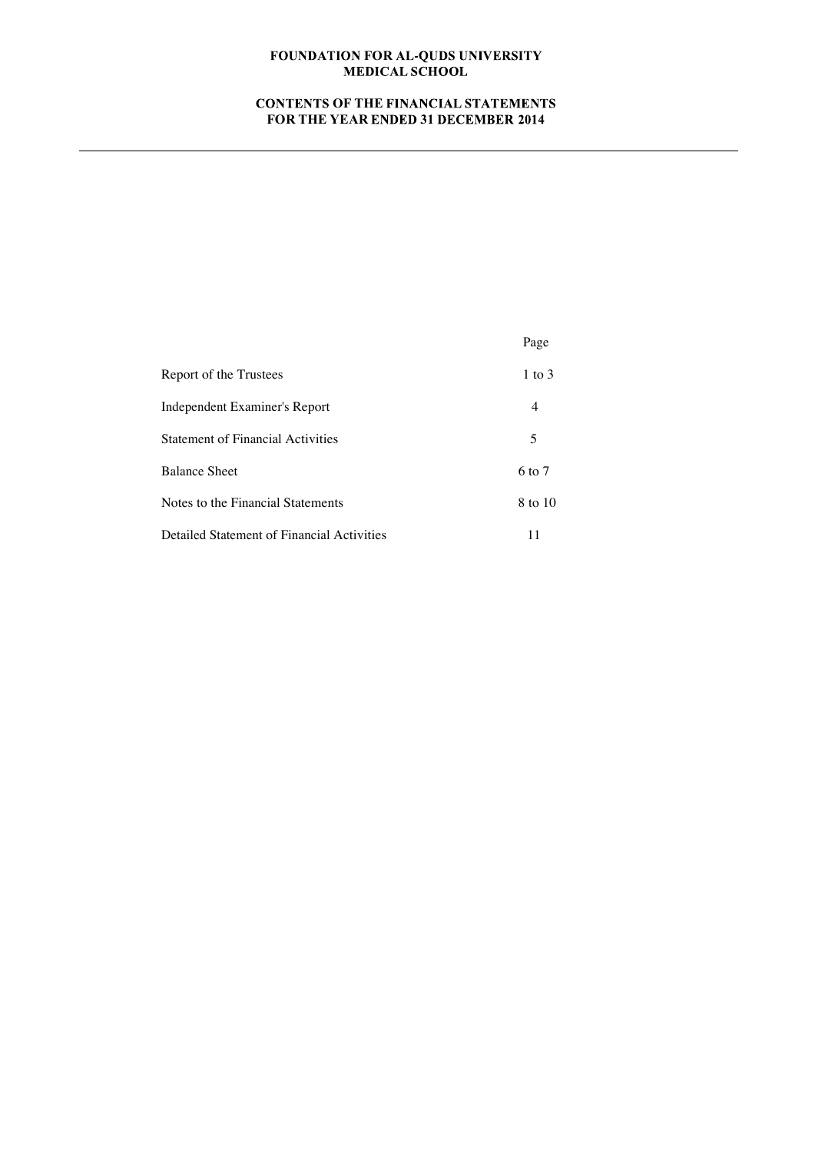# **CONTENTS OF THE FINANCIAL STATEMENTS FOR THE YEAR ENDED 31 DECEMBER 2014**

|                                            | Page              |
|--------------------------------------------|-------------------|
| Report of the Trustees                     | 1 to $3$          |
| Independent Examiner's Report              | 4                 |
| <b>Statement of Financial Activities</b>   | 5                 |
| <b>Balance Sheet</b>                       | $6 \text{ to } 7$ |
| Notes to the Financial Statements          | 8 to 10           |
| Detailed Statement of Financial Activities | 11                |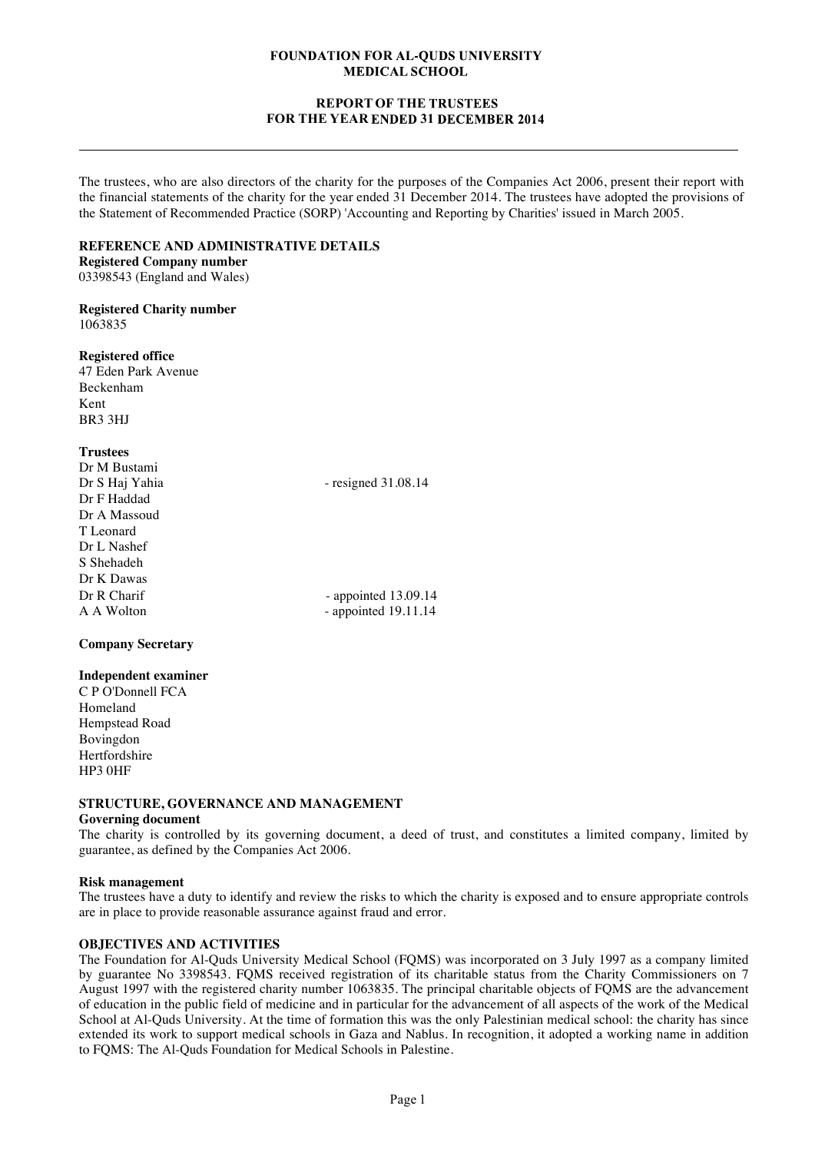## **REPORT OF THE FOR THE YEAR ENDED 31 DECEMBER 2014**

The trustees, who are also directors of the charity for the purposes of the Companies Act 2006, present their report with the financial statements of the charity for the year ended 31 December 2014. The trustees have adopted the provisions of the Statement of Recommended Practice (SORP) 'Accounting and Reporting by Charities' issued in March 2005.

#### **REFERENCE AND ADMINISTRATIVE DETAILS**

**Registered Company number** 03398543 (England and Wales)

#### **Registered Charity number** 1063835

#### **Registered office**

47 Eden Park Avenue Beckenham Kent BR3 3HJ

#### **Trustees**

| Dr M Bustami   |                        |
|----------------|------------------------|
| Dr S Haj Yahia | - resigned $31.08.14$  |
| Dr F Haddad    |                        |
| Dr A Massoud   |                        |
| T Leonard      |                        |
| Dr L Nashef    |                        |
| S Shehadeh     |                        |
| Dr K Dawas     |                        |
| Dr R Charif    | - appointed $13.09.14$ |
| A A Wolton     | - appointed $19.11.14$ |
|                |                        |

## **Company Secretary**

#### **Independent examiner**

C P O'Donnell FCA Homeland Hempstead Road Bovingdon Hertfordshire HP3 0HF

## **STRUCTURE, GOVERNANCE AND MANAGEMENT**

#### **Governing document**

The charity is controlled by its governing document, a deed of trust, and constitutes a limited company, limited by guarantee, as defined by the Companies Act 2006.

## **Risk management**

The trustees have a duty to identify and review the risks to which the charity is exposed and to ensure appropriate controls are in place to provide reasonable assurance against fraud and error.

## **OBJECTIVES AND ACTIVITIES**

The Foundation for Al-Quds University Medical School (FQMS) was incorporated on 3 July 1997 as a company limited by guarantee No 3398543. FQMS received registration of its charitable status from the Charity Commissioners on 7 August 1997 with the registered charity number 1063835. The principal charitable objects of FQMS are the advancement of education in the public field of medicine and in particular for the advancement of all aspects of the work of the Medical School at Al-Quds University. At the time of formation this was the only Palestinian medical school: the charity has since extended its work to support medical schools in Gaza and Nablus. In recognition, it adopted a working name in addition to FQMS: The Al-Quds Foundation for Medical Schools in Palestine.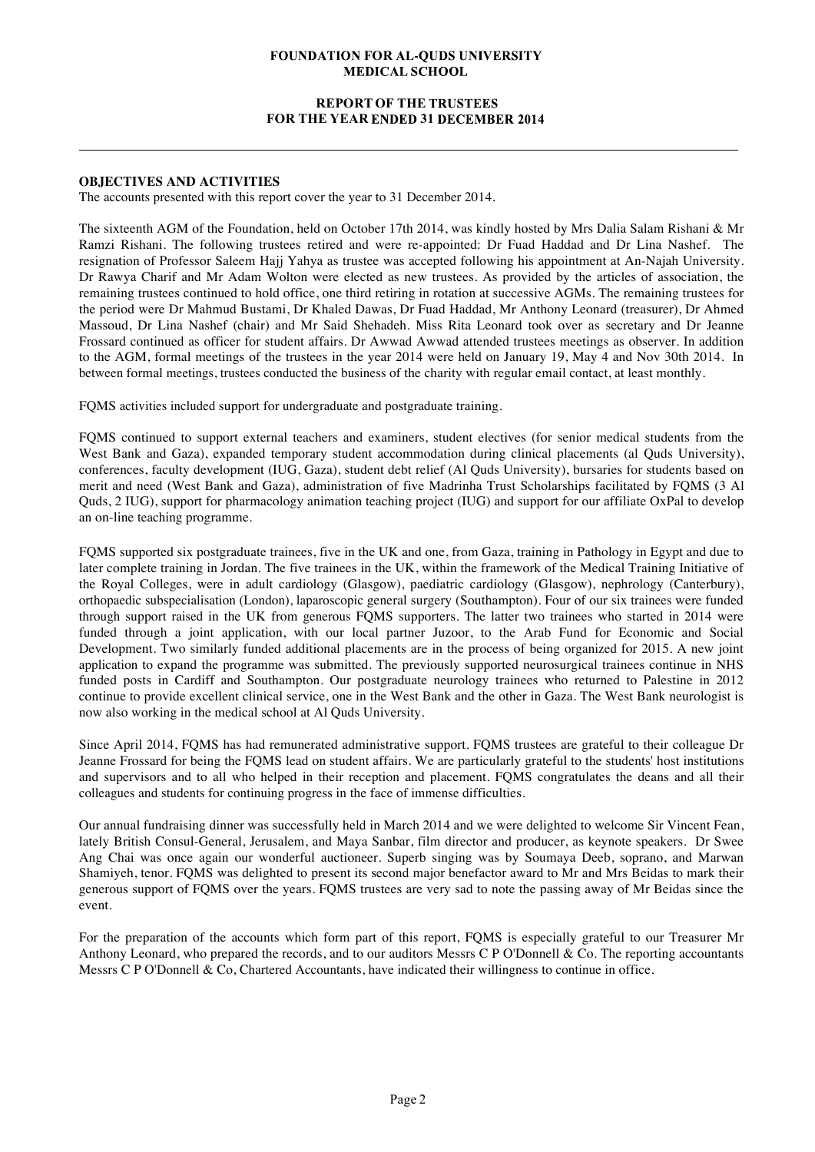## **REPORT OF THE FOR THE YEAR ENDED 31 DECEMBER 2014**

## **OBJECTIVES AND ACTIVITIES**

The accounts presented with this report cover the year to 31 December 2014.

The sixteenth AGM of the Foundation, held on October 17th 2014, was kindly hosted by Mrs Dalia Salam Rishani & Mr Ramzi Rishani. The following trustees retired and were re-appointed: Dr Fuad Haddad and Dr Lina Nashef. The resignation of Professor Saleem Hajj Yahya as trustee was accepted following his appointment at An-Najah University. Dr Rawya Charif and Mr Adam Wolton were elected as new trustees. As provided by the articles of association, the remaining trustees continued to hold office, one third retiring in rotation at successive AGMs. The remaining trustees for the period were Dr Mahmud Bustami, Dr Khaled Dawas, Dr Fuad Haddad, Mr Anthony Leonard (treasurer), Dr Ahmed Massoud, Dr Lina Nashef (chair) and Mr Said Shehadeh. Miss Rita Leonard took over as secretary and Dr Jeanne Frossard continued as officer for student affairs. Dr Awwad Awwad attended trustees meetings as observer. In addition to the AGM, formal meetings of the trustees in the year 2014 were held on January 19, May 4 and Nov 30th 2014. In between formal meetings, trustees conducted the business of the charity with regular email contact, at least monthly.

FQMS activities included support for undergraduate and postgraduate training.

FQMS continued to support external teachers and examiners, student electives (for senior medical students from the West Bank and Gaza), expanded temporary student accommodation during clinical placements (al Quds University), conferences, faculty development (IUG, Gaza), student debt relief (Al Quds University), bursaries for students based on merit and need (West Bank and Gaza), administration of five Madrinha Trust Scholarships facilitated by FQMS (3 Al Quds, 2 IUG), support for pharmacology animation teaching project (IUG) and support for our affiliate OxPal to develop an on-line teaching programme.

FQMS supported six postgraduate trainees, five in the UK and one, from Gaza, training in Pathology in Egypt and due to later complete training in Jordan. The five trainees in the UK, within the framework of the Medical Training Initiative of the Royal Colleges, were in adult cardiology (Glasgow), paediatric cardiology (Glasgow), nephrology (Canterbury), orthopaedic subspecialisation (London), laparoscopic general surgery (Southampton). Four of our six trainees were funded through support raised in the UK from generous FQMS supporters. The latter two trainees who started in 2014 were funded through a joint application, with our local partner Juzoor, to the Arab Fund for Economic and Social Development. Two similarly funded additional placements are in the process of being organized for 2015. A new joint application to expand the programme was submitted. The previously supported neurosurgical trainees continue in NHS funded posts in Cardiff and Southampton. Our postgraduate neurology trainees who returned to Palestine in 2012 continue to provide excellent clinical service, one in the West Bank and the other in Gaza. The West Bank neurologist is now also working in the medical school at Al Quds University.

Since April 2014, FQMS has had remunerated administrative support. FQMS trustees are grateful to their colleague Dr Jeanne Frossard for being the FQMS lead on student affairs. We are particularly grateful to the students' host institutions and supervisors and to all who helped in their reception and placement. FQMS congratulates the deans and all their colleagues and students for continuing progress in the face of immense difficulties.

Our annual fundraising dinner was successfully held in March 2014 and we were delighted to welcome Sir Vincent Fean, lately British Consul-General, Jerusalem, and Maya Sanbar, film director and producer, as keynote speakers. Dr Swee Ang Chai was once again our wonderful auctioneer. Superb singing was by Soumaya Deeb, soprano, and Marwan Shamiyeh, tenor. FQMS was delighted to present its second major benefactor award to Mr and Mrs Beidas to mark their generous support of FQMS over the years. FQMS trustees are very sad to note the passing away of Mr Beidas since the event.

For the preparation of the accounts which form part of this report, FQMS is especially grateful to our Treasurer Mr Anthony Leonard, who prepared the records, and to our auditors Messrs C P O'Donnell & Co. The reporting accountants Messrs C P O'Donnell & Co, Chartered Accountants, have indicated their willingness to continue in office.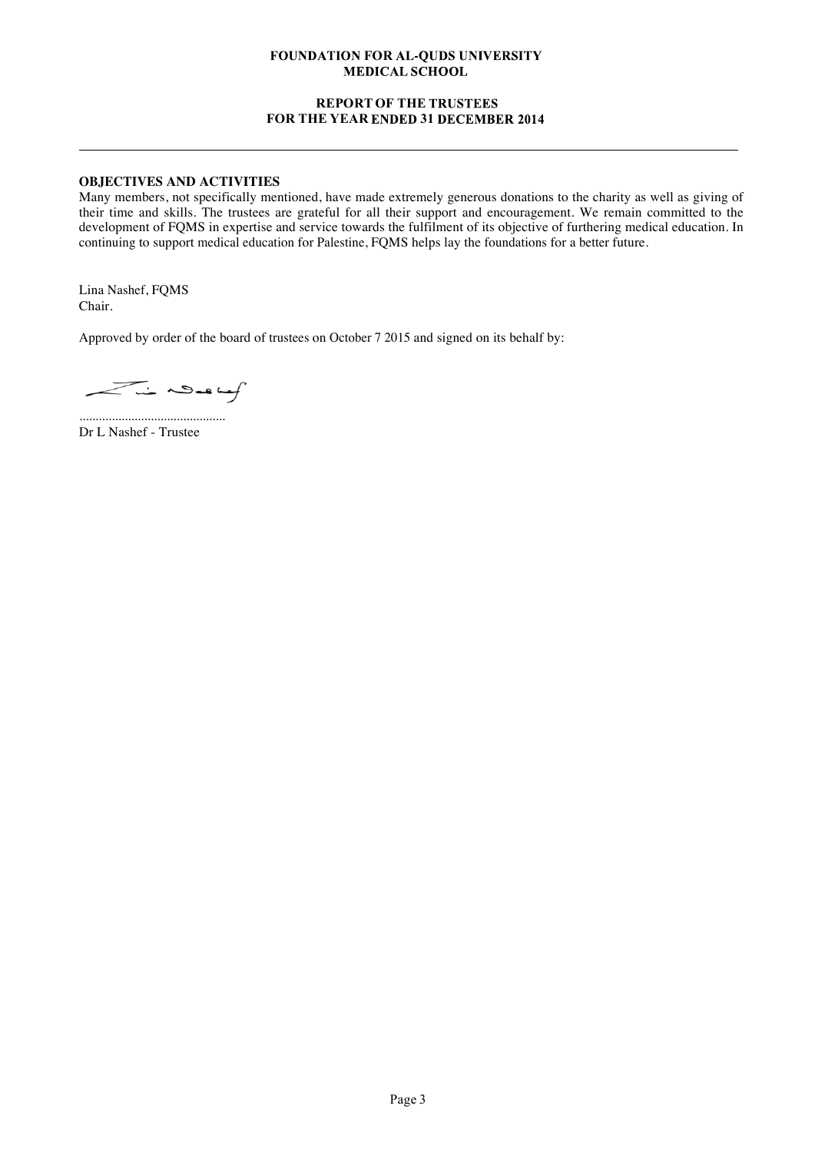## **REPORT OF THE FOR THE YEAR ENDED 31 DECEMBER 2014**

# **OBJECTIVES AND ACTIVITIES**

Many members, not specifically mentioned, have made extremely generous donations to the charity as well as giving of their time and skills. The trustees are grateful for all their support and encouragement. We remain committed to the development of FQMS in expertise and service towards the fulfilment of its objective of furthering medical education. In continuing to support medical education for Palestine, FQMS helps lay the foundations for a better future.

Lina Nashef, FQMS Chair.

Approved by order of the board of trustees on October 7 2015 and signed on its behalf by:

Lin Deskef

............................................. Dr L Nashef - Trustee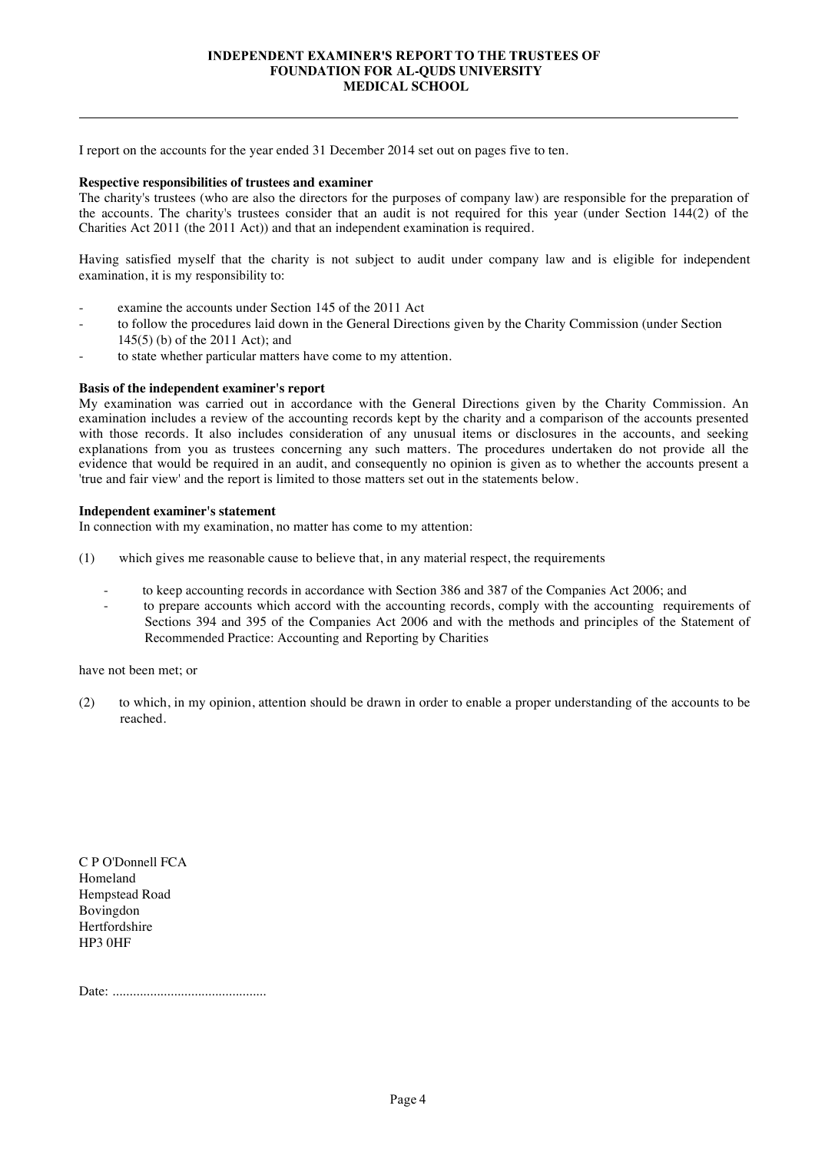#### **INDEPENDENT EXAMINER'S REPORT TO THE TRUSTEES OF FOUNDATION FOR AL-QUDS UNIVERSITY MEDICAL SCHOOL**

I report on the accounts for the year ended 31 December 2014 set out on pages five to ten.

#### **Respective responsibilities of trustees and examiner**

The charity's trustees (who are also the directors for the purposes of company law) are responsible for the preparation of the accounts. The charity's trustees consider that an audit is not required for this year (under Section 144(2) of the Charities Act 2011 (the 2011 Act)) and that an independent examination is required.

Having satisfied myself that the charity is not subject to audit under company law and is eligible for independent examination, it is my responsibility to:

- examine the accounts under Section 145 of the 2011 Act
- to follow the procedures laid down in the General Directions given by the Charity Commission (under Section
- 145(5) (b) of the 2011 Act); and
- to state whether particular matters have come to my attention.

#### **Basis of the independent examiner's report**

My examination was carried out in accordance with the General Directions given by the Charity Commission. An examination includes a review of the accounting records kept by the charity and a comparison of the accounts presented with those records. It also includes consideration of any unusual items or disclosures in the accounts, and seeking explanations from you as trustees concerning any such matters. The procedures undertaken do not provide all the evidence that would be required in an audit, and consequently no opinion is given as to whether the accounts present a 'true and fair view' and the report is limited to those matters set out in the statements below.

#### **Independent examiner's statement**

In connection with my examination, no matter has come to my attention:

- (1) which gives me reasonable cause to believe that, in any material respect, the requirements
	- to keep accounting records in accordance with Section 386 and 387 of the Companies Act 2006; and
	- to prepare accounts which accord with the accounting records, comply with the accounting requirements of Sections 394 and 395 of the Companies Act 2006 and with the methods and principles of the Statement of Recommended Practice: Accounting and Reporting by Charities

have not been met; or

(2) to which, in my opinion, attention should be drawn in order to enable a proper understanding of the accounts to be reached.

C P O'Donnell FCA Homeland Hempstead Road Bovingdon Hertfordshire HP3 0HF

Date: .............................................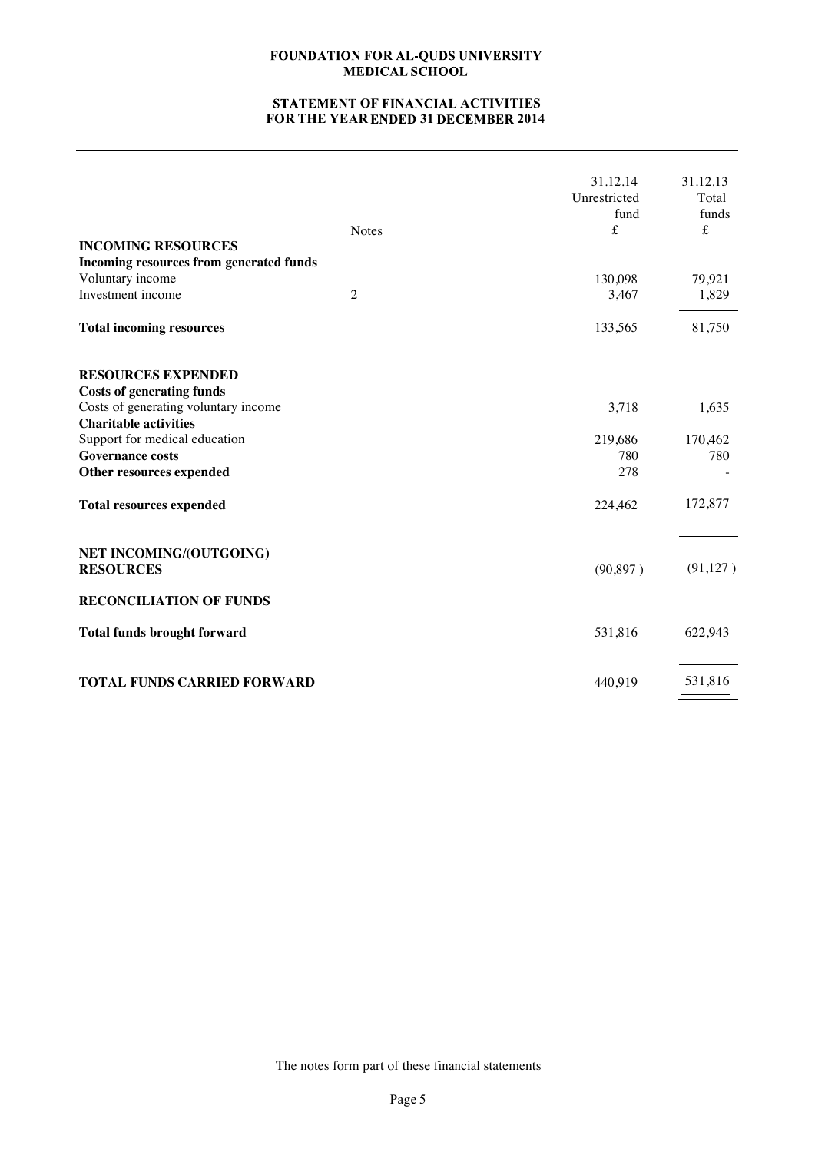# **STATEMENT OF FINANCIAL ACTIVITIES FOR THE YEAR 31 2014**

| <b>INCOMING RESOURCES</b>                                                                                                                                                                                                     | <b>Notes</b>   | 31.12.14<br>Unrestricted<br>fund<br>£ | 31.12.13<br>Total<br>funds<br>$\pounds$ |
|-------------------------------------------------------------------------------------------------------------------------------------------------------------------------------------------------------------------------------|----------------|---------------------------------------|-----------------------------------------|
| Incoming resources from generated funds<br>Voluntary income                                                                                                                                                                   |                | 130,098                               | 79,921                                  |
| Investment income                                                                                                                                                                                                             | $\overline{2}$ | 3,467                                 | 1,829                                   |
| <b>Total incoming resources</b>                                                                                                                                                                                               |                | 133,565                               | 81,750                                  |
| <b>RESOURCES EXPENDED</b><br><b>Costs of generating funds</b><br>Costs of generating voluntary income<br><b>Charitable activities</b><br>Support for medical education<br><b>Governance costs</b><br>Other resources expended |                | 3,718<br>219,686<br>780<br>278        | 1,635<br>170,462<br>780                 |
| <b>Total resources expended</b>                                                                                                                                                                                               |                | 224,462                               | 172,877                                 |
| NET INCOMING/(OUTGOING)<br><b>RESOURCES</b><br><b>RECONCILIATION OF FUNDS</b>                                                                                                                                                 |                | (90, 897)                             | (91, 127)                               |
| <b>Total funds brought forward</b>                                                                                                                                                                                            |                | 531,816                               | 622,943                                 |
| <b>TOTAL FUNDS CARRIED FORWARD</b>                                                                                                                                                                                            |                | 440,919                               | 531,816                                 |

The notes form part of these financial statements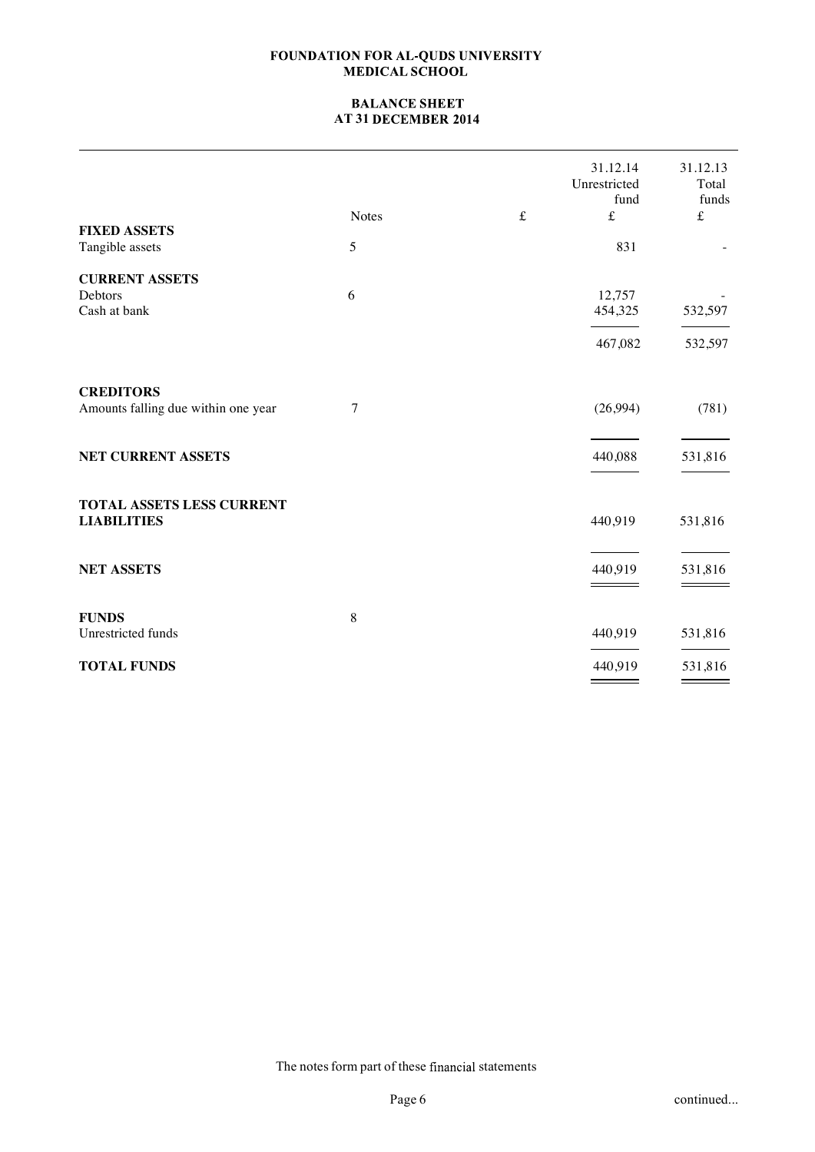# **BALANCE SHEET AT 31**

|                                        |              |           | 31.12.14<br>Unrestricted<br>fund | 31.12.13<br>Total<br>funds |
|----------------------------------------|--------------|-----------|----------------------------------|----------------------------|
|                                        | <b>Notes</b> | $\pounds$ | $\pounds$                        | $\pounds$                  |
| <b>FIXED ASSETS</b><br>Tangible assets | 5            |           | 831                              |                            |
| <b>CURRENT ASSETS</b>                  |              |           |                                  |                            |
| Debtors<br>Cash at bank                | 6            |           | 12,757<br>454,325                | 532,597                    |
|                                        |              |           | 467,082                          | 532,597                    |
| <b>CREDITORS</b>                       |              |           |                                  |                            |
| Amounts falling due within one year    | 7            |           | (26,994)                         | (781)                      |
| <b>NET CURRENT ASSETS</b>              |              |           | 440,088                          | 531,816                    |
| TOTAL ASSETS LESS CURRENT              |              |           |                                  |                            |
| <b>LIABILITIES</b>                     |              |           | 440,919                          | 531,816                    |
| <b>NET ASSETS</b>                      |              |           | 440,919                          | 531,816                    |
|                                        |              |           |                                  |                            |
| <b>FUNDS</b>                           | $\,8\,$      |           |                                  |                            |
| Unrestricted funds                     |              |           | 440,919                          | 531,816                    |
| <b>TOTAL FUNDS</b>                     |              |           | 440,919                          | 531,816<br>=               |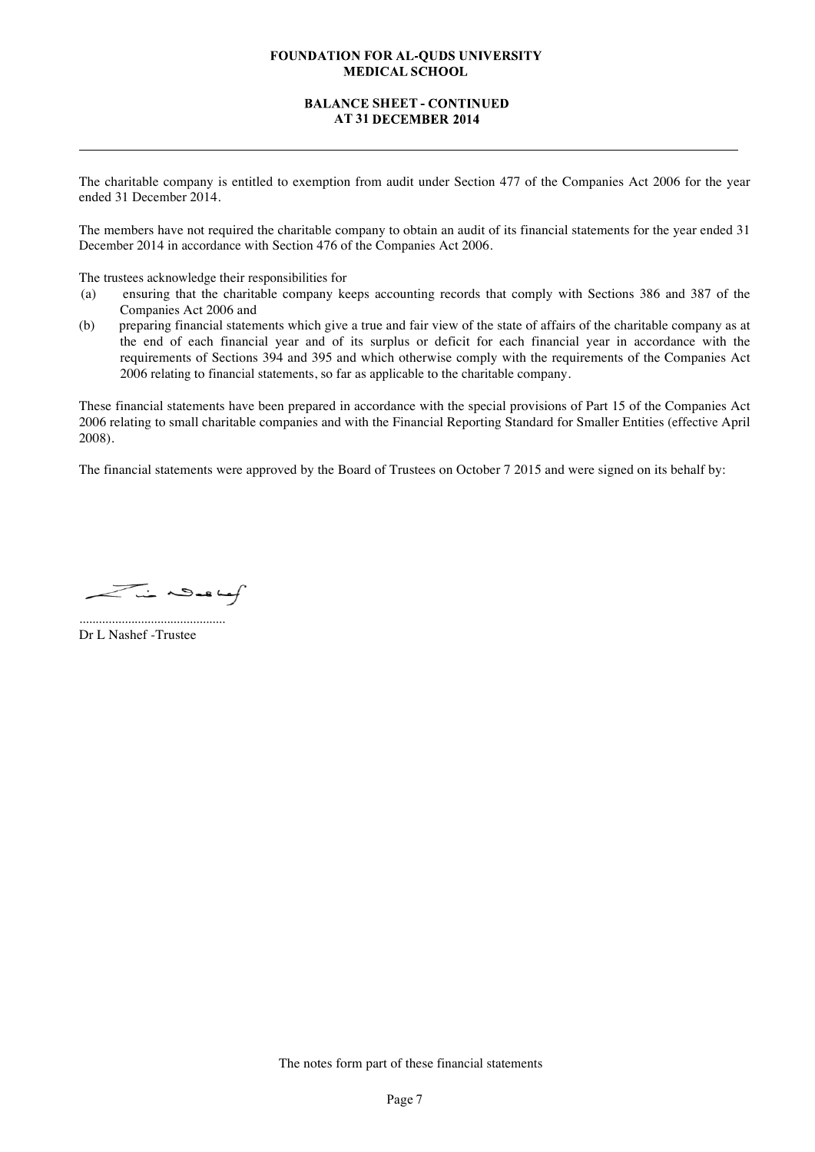## **BALANCE SHEET - CONTINUED AT 31**

The charitable company is entitled to exemption from audit under Section 477 of the Companies Act 2006 for the year ended 31 December 2014.

The members have not required the charitable company to obtain an audit of its financial statements for the year ended 31 December 2014 in accordance with Section 476 of the Companies Act 2006.

The trustees acknowledge their responsibilities for

- (a) ensuring that the charitable company keeps accounting records that comply with Sections 386 and 387 of the Companies Act 2006 and
- (b) preparing financial statements which give a true and fair view of the state of affairs of the charitable company as at the end of each financial year and of its surplus or deficit for each financial year in accordance with the requirements of Sections 394 and 395 and which otherwise comply with the requirements of the Companies Act 2006 relating to financial statements, so far as applicable to the charitable company.

These financial statements have been prepared in accordance with the special provisions of Part 15 of the Companies Act 2006 relating to small charitable companies and with the Financial Reporting Standard for Smaller Entities (effective April 2008).

The financial statements were approved by the Board of Trustees on October 7 2015 and were signed on its behalf by:

 $\overline{\phantom{a}}$ in Novellaf

Dr L Nashef -Trustee

.............................................

The notes form part of these financial statements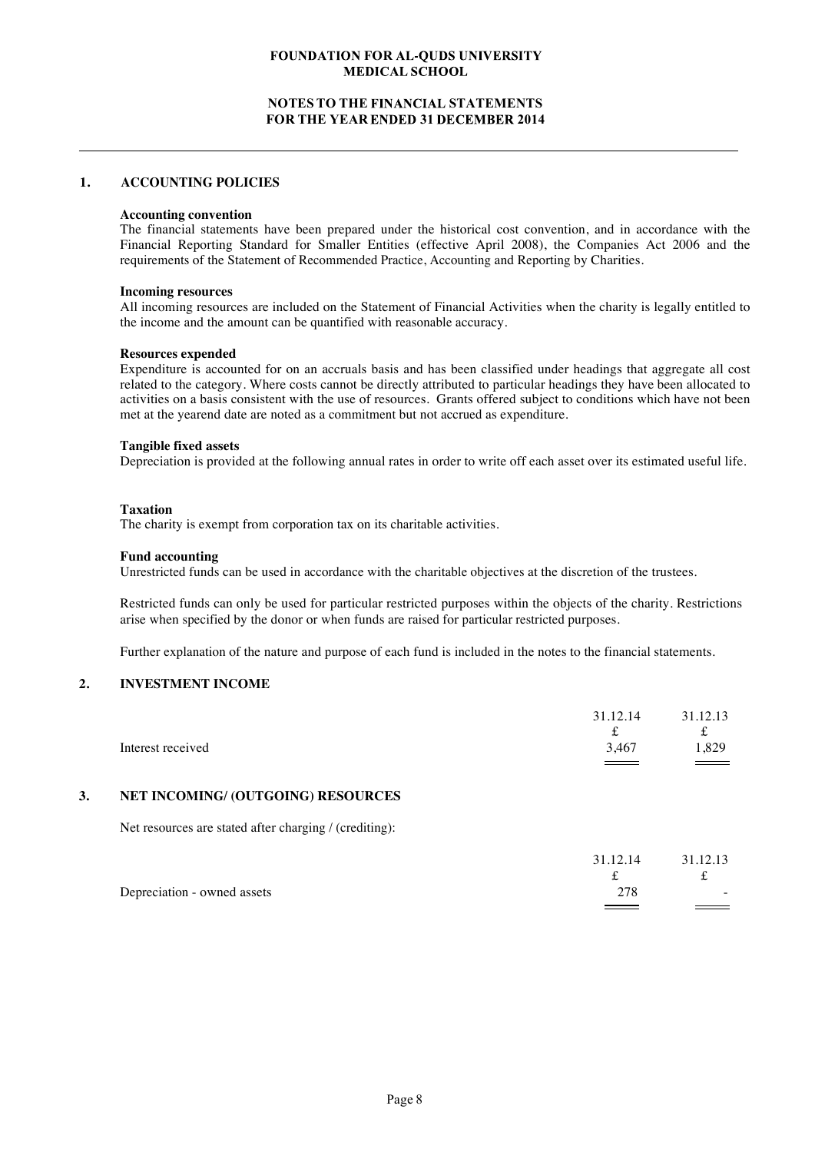## **NOTES TO THE STATEMENTS FOR THE YEAR ENDED 31 DECEMBER 2014**

#### **1. ACCOUNTING POLICIES**

#### **Accounting convention**

The financial statements have been prepared under the historical cost convention, and in accordance with the Financial Reporting Standard for Smaller Entities (effective April 2008), the Companies Act 2006 and the requirements of the Statement of Recommended Practice, Accounting and Reporting by Charities.

#### **Incoming resources**

All incoming resources are included on the Statement of Financial Activities when the charity is legally entitled to the income and the amount can be quantified with reasonable accuracy.

#### **Resources expended**

Expenditure is accounted for on an accruals basis and has been classified under headings that aggregate all cost related to the category. Where costs cannot be directly attributed to particular headings they have been allocated to activities on a basis consistent with the use of resources. Grants offered subject to conditions which have not been met at the yearend date are noted as a commitment but not accrued as expenditure.

#### **Tangible fixed assets**

Depreciation is provided at the following annual rates in order to write off each asset over its estimated useful life.

#### **Taxation**

The charity is exempt from corporation tax on its charitable activities.

#### **Fund accounting**

Unrestricted funds can be used in accordance with the charitable objectives at the discretion of the trustees.

Restricted funds can only be used for particular restricted purposes within the objects of the charity. Restrictions arise when specified by the donor or when funds are raised for particular restricted purposes.

Further explanation of the nature and purpose of each fund is included in the notes to the financial statements.

#### **2. INVESTMENT INCOME**

|                   | 31.12.14<br>$\overline{\phantom{a}}$ | 31.12.13<br>£      |
|-------------------|--------------------------------------|--------------------|
| Interest received | 3,467                                | .329               |
|                   | $\sim$ $\sim$ $\sim$                 | $\hspace{1.5cm} =$ |

### **3. NET INCOMING/ (OUTGOING) RESOURCES**

Net resources are stated after charging / (crediting):

|                             | 31.12.14 | 31.12.13 |
|-----------------------------|----------|----------|
|                             |          |          |
| Depreciation - owned assets | 278      | $\sim$   |
|                             |          |          |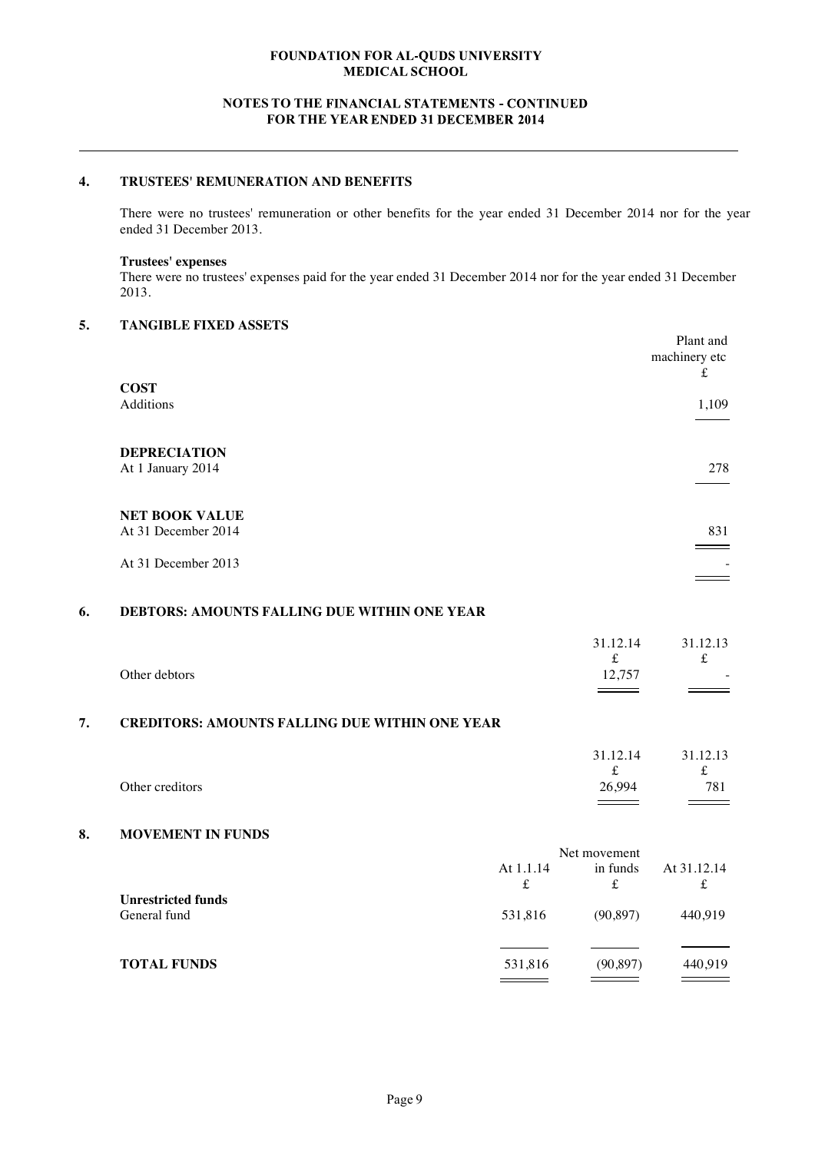## **NOTES TO THE FINANCIAL STATEMENTS - CONTINUED FOR THE YEAR ENDED 31 DECEMBER 2014**

# **4. TRUSTEES' REMUNERATION AND BENEFITS**

There were no trustees' remuneration or other benefits for the year ended 31 December 2014 nor for the year ended 31 December 2013.

## **Trustees' expenses**

There were no trustees' expenses paid for the year ended 31 December 2014 nor for the year ended 31 December 2013.

# **5. TANGIBLE FIXED ASSETS**

|                                              | Plant and<br>machinery etc |
|----------------------------------------------|----------------------------|
| <b>COST</b>                                  | t                          |
| Additions                                    | 1,109                      |
| <b>DEPRECIATION</b><br>At 1 January 2014     | 278                        |
| <b>NET BOOK VALUE</b><br>At 31 December 2014 | 831                        |
| At 31 December 2013                          |                            |

## **6. DEBTORS: AMOUNTS FALLING DUE WITHIN ONE YEAR**

| Other debtors                                         | 12.757 |  |
|-------------------------------------------------------|--------|--|
| <b>CREDITORS: AMOUNTS FALLING DUE WITHIN ONE YEAR</b> |        |  |

|                 | 31.12.14 | 31.12.13 |
|-----------------|----------|----------|
|                 |          | £        |
| Other creditors | 26,994   | 781      |

#### **8. MOVEMENT IN FUNDS**

|                                           | Net movement |           |             |
|-------------------------------------------|--------------|-----------|-------------|
|                                           | At 1.1.14    | in funds  | At 31.12.14 |
|                                           | £            | £         | £           |
| <b>Unrestricted funds</b><br>General fund | 531,816      | (90, 897) | 440.919     |
| <b>TOTAL FUNDS</b>                        | 531,816      | (90, 897) | 440,919     |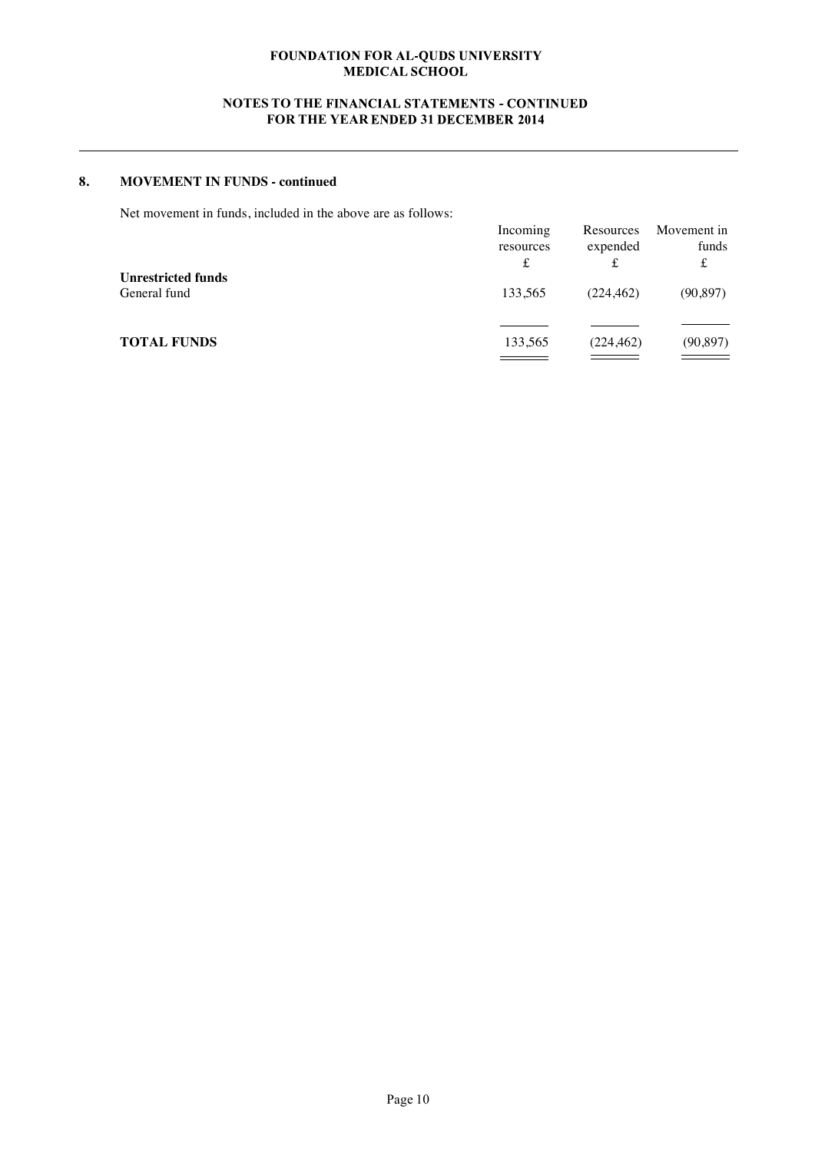# **NOTES TO THE FINANCIAL STATEMENTS - CONTINUED FOR THE YEAR ENDED 31 DECEMBER 2014**

# **8. MOVEMENT IN FUNDS - continued**

Net movement in funds, included in the above are as follows:

|                                           | Incoming<br>resources<br>£ | Resources<br>expended | Movement in<br>funds<br>£ |
|-------------------------------------------|----------------------------|-----------------------|---------------------------|
| <b>Unrestricted funds</b><br>General fund | 133.565                    | (224, 462)            | (90, 897)                 |
| <b>TOTAL FUNDS</b>                        | 133,565                    | (224, 462)            | (90, 897)                 |